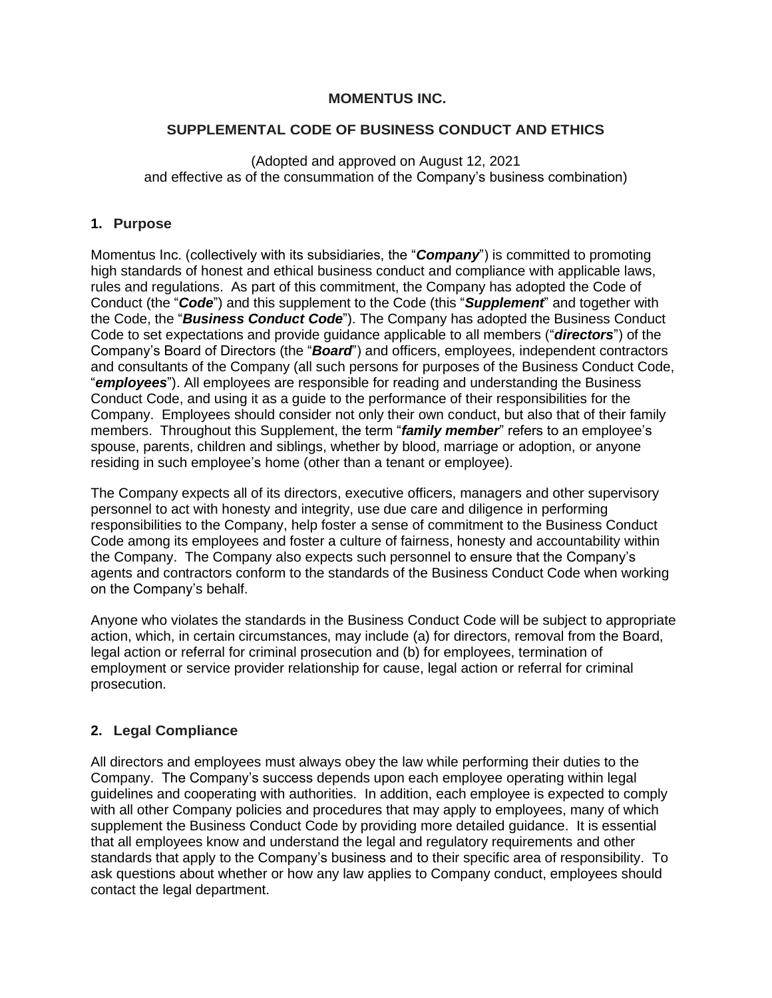### **MOMENTUS INC.**

### **SUPPLEMENTAL CODE OF BUSINESS CONDUCT AND ETHICS**

(Adopted and approved on August 12, 2021 and effective as of the consummation of the Company's business combination)

### **1. Purpose**

Momentus Inc. (collectively with its subsidiaries, the "*Company*") is committed to promoting high standards of honest and ethical business conduct and compliance with applicable laws, rules and regulations. As part of this commitment, the Company has adopted the Code of Conduct (the "*Code*") and this supplement to the Code (this "*Supplement*" and together with the Code, the "*Business Conduct Code*"). The Company has adopted the Business Conduct Code to set expectations and provide guidance applicable to all members ("*directors*") of the Company's Board of Directors (the "*Board*") and officers, employees, independent contractors and consultants of the Company (all such persons for purposes of the Business Conduct Code, "*employees*"). All employees are responsible for reading and understanding the Business Conduct Code, and using it as a guide to the performance of their responsibilities for the Company. Employees should consider not only their own conduct, but also that of their family members. Throughout this Supplement, the term "*family member*" refers to an employee's spouse, parents, children and siblings, whether by blood, marriage or adoption, or anyone residing in such employee's home (other than a tenant or employee).

The Company expects all of its directors, executive officers, managers and other supervisory personnel to act with honesty and integrity, use due care and diligence in performing responsibilities to the Company, help foster a sense of commitment to the Business Conduct Code among its employees and foster a culture of fairness, honesty and accountability within the Company. The Company also expects such personnel to ensure that the Company's agents and contractors conform to the standards of the Business Conduct Code when working on the Company's behalf.

Anyone who violates the standards in the Business Conduct Code will be subject to appropriate action, which, in certain circumstances, may include (a) for directors, removal from the Board, legal action or referral for criminal prosecution and (b) for employees, termination of employment or service provider relationship for cause, legal action or referral for criminal prosecution.

# **2. Legal Compliance**

All directors and employees must always obey the law while performing their duties to the Company. The Company's success depends upon each employee operating within legal guidelines and cooperating with authorities. In addition, each employee is expected to comply with all other Company policies and procedures that may apply to employees, many of which supplement the Business Conduct Code by providing more detailed guidance. It is essential that all employees know and understand the legal and regulatory requirements and other standards that apply to the Company's business and to their specific area of responsibility. To ask questions about whether or how any law applies to Company conduct, employees should contact the legal department.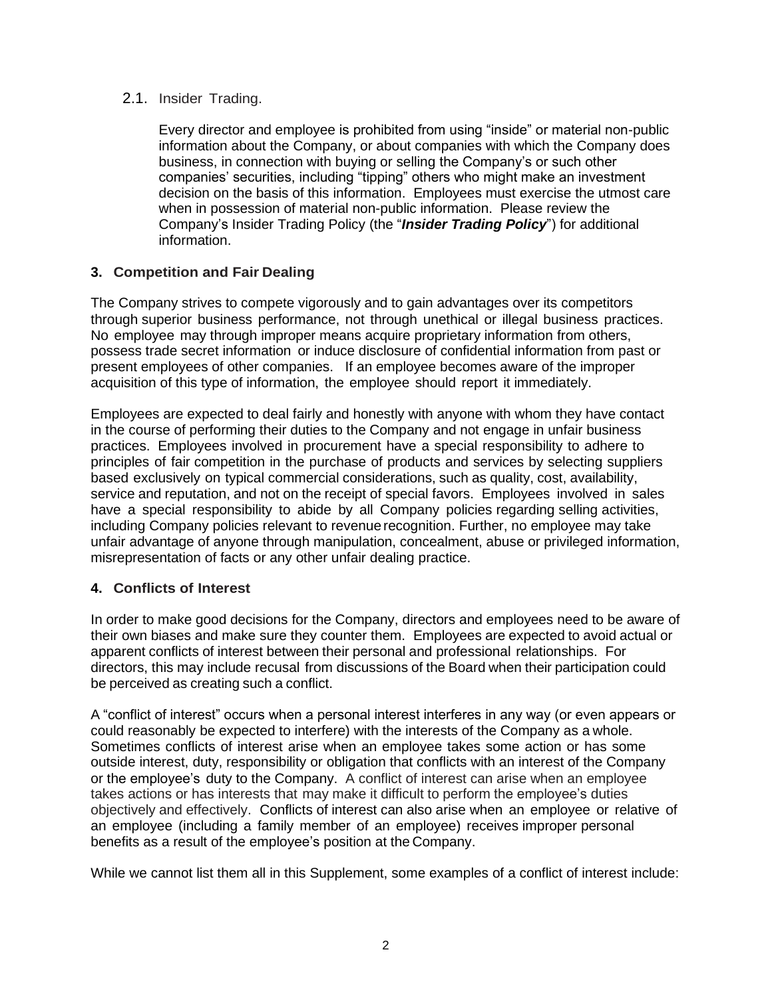### 2.1. Insider Trading.

Every director and employee is prohibited from using "inside" or material non-public information about the Company, or about companies with which the Company does business, in connection with buying or selling the Company's or such other companies' securities, including "tipping" others who might make an investment decision on the basis of this information. Employees must exercise the utmost care when in possession of material non-public information. Please review the Company's Insider Trading Policy (the "*Insider Trading Policy*") for additional information.

# **3. Competition and Fair Dealing**

The Company strives to compete vigorously and to gain advantages over its competitors through superior business performance, not through unethical or illegal business practices. No employee may through improper means acquire proprietary information from others, possess trade secret information or induce disclosure of confidential information from past or present employees of other companies. If an employee becomes aware of the improper acquisition of this type of information, the employee should report it immediately.

Employees are expected to deal fairly and honestly with anyone with whom they have contact in the course of performing their duties to the Company and not engage in unfair business practices. Employees involved in procurement have a special responsibility to adhere to principles of fair competition in the purchase of products and services by selecting suppliers based exclusively on typical commercial considerations, such as quality, cost, availability, service and reputation, and not on the receipt of special favors. Employees involved in sales have a special responsibility to abide by all Company policies regarding selling activities, including Company policies relevant to revenue recognition. Further, no employee may take unfair advantage of anyone through manipulation, concealment, abuse or privileged information, misrepresentation of facts or any other unfair dealing practice.

# **4. Conflicts of Interest**

In order to make good decisions for the Company, directors and employees need to be aware of their own biases and make sure they counter them. Employees are expected to avoid actual or apparent conflicts of interest between their personal and professional relationships. For directors, this may include recusal from discussions of the Board when their participation could be perceived as creating such a conflict.

A "conflict of interest" occurs when a personal interest interferes in any way (or even appears or could reasonably be expected to interfere) with the interests of the Company as a whole. Sometimes conflicts of interest arise when an employee takes some action or has some outside interest, duty, responsibility or obligation that conflicts with an interest of the Company or the employee's duty to the Company. A conflict of interest can arise when an employee takes actions or has interests that may make it difficult to perform the employee's duties objectively and effectively. Conflicts of interest can also arise when an employee or relative of an employee (including a family member of an employee) receives improper personal benefits as a result of the employee's position at the Company.

While we cannot list them all in this Supplement, some examples of a conflict of interest include: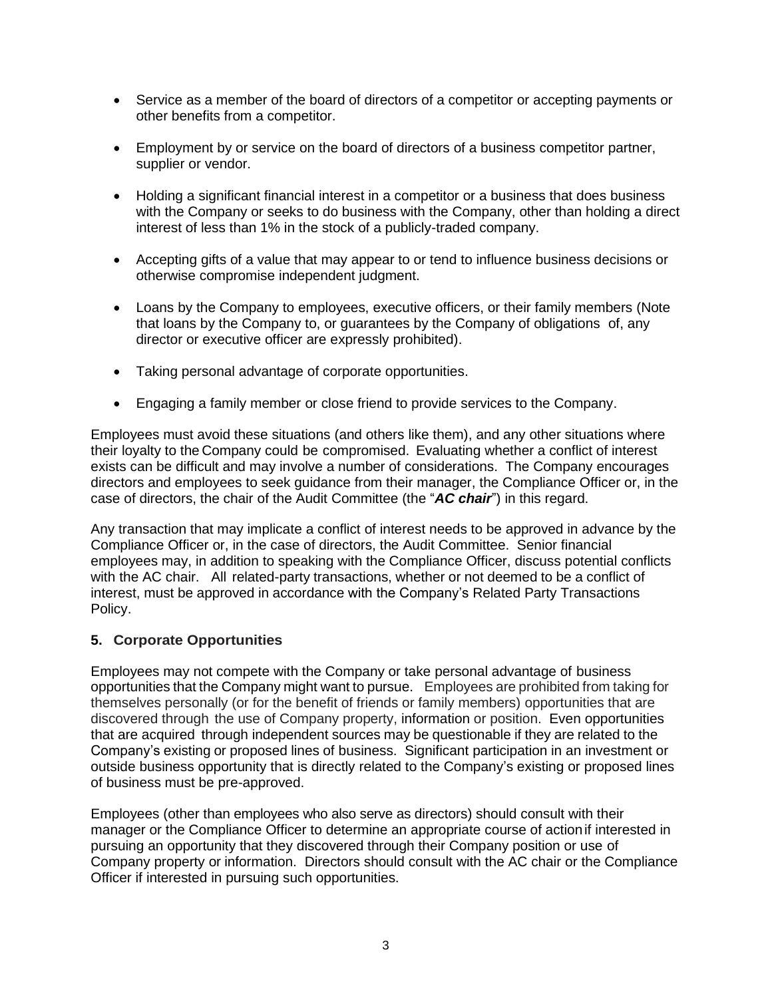- Service as a member of the board of directors of a competitor or accepting payments or other benefits from a competitor.
- Employment by or service on the board of directors of a business competitor partner, supplier or vendor.
- Holding a significant financial interest in a competitor or a business that does business with the Company or seeks to do business with the Company, other than holding a direct interest of less than 1% in the stock of a publicly-traded company.
- Accepting gifts of a value that may appear to or tend to influence business decisions or otherwise compromise independent judgment.
- Loans by the Company to employees, executive officers, or their family members (Note that loans by the Company to, or guarantees by the Company of obligations of, any director or executive officer are expressly prohibited).
- Taking personal advantage of corporate opportunities.
- Engaging a family member or close friend to provide services to the Company.

Employees must avoid these situations (and others like them), and any other situations where their loyalty to the Company could be compromised. Evaluating whether a conflict of interest exists can be difficult and may involve a number of considerations. The Company encourages directors and employees to seek guidance from their manager, the Compliance Officer or, in the case of directors, the chair of the Audit Committee (the "*AC chair*") in this regard.

Any transaction that may implicate a conflict of interest needs to be approved in advance by the Compliance Officer or, in the case of directors, the Audit Committee. Senior financial employees may, in addition to speaking with the Compliance Officer, discuss potential conflicts with the AC chair. All related-party transactions, whether or not deemed to be a conflict of interest, must be approved in accordance with the Company's Related Party Transactions Policy.

### **5. Corporate Opportunities**

Employees may not compete with the Company or take personal advantage of business opportunities that the Company might want to pursue. Employees are prohibited from taking for themselves personally (or for the benefit of friends or family members) opportunities that are discovered through the use of Company property, information or position. Even opportunities that are acquired through independent sources may be questionable if they are related to the Company's existing or proposed lines of business. Significant participation in an investment or outside business opportunity that is directly related to the Company's existing or proposed lines of business must be pre-approved.

Employees (other than employees who also serve as directors) should consult with their manager or the Compliance Officer to determine an appropriate course of actionif interested in pursuing an opportunity that they discovered through their Company position or use of Company property or information. Directors should consult with the AC chair or the Compliance Officer if interested in pursuing such opportunities.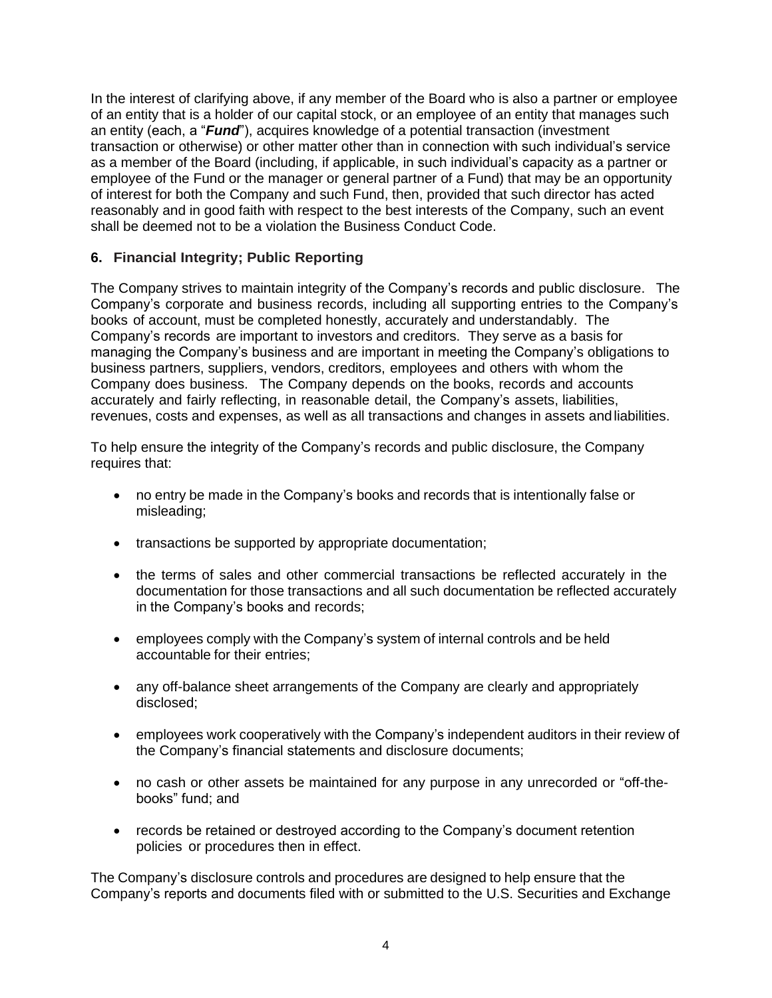In the interest of clarifying above, if any member of the Board who is also a partner or employee of an entity that is a holder of our capital stock, or an employee of an entity that manages such an entity (each, a "*Fund*"), acquires knowledge of a potential transaction (investment transaction or otherwise) or other matter other than in connection with such individual's service as a member of the Board (including, if applicable, in such individual's capacity as a partner or employee of the Fund or the manager or general partner of a Fund) that may be an opportunity of interest for both the Company and such Fund, then, provided that such director has acted reasonably and in good faith with respect to the best interests of the Company, such an event shall be deemed not to be a violation the Business Conduct Code.

# **6. Financial Integrity; Public Reporting**

The Company strives to maintain integrity of the Company's records and public disclosure. The Company's corporate and business records, including all supporting entries to the Company's books of account, must be completed honestly, accurately and understandably. The Company's records are important to investors and creditors. They serve as a basis for managing the Company's business and are important in meeting the Company's obligations to business partners, suppliers, vendors, creditors, employees and others with whom the Company does business. The Company depends on the books, records and accounts accurately and fairly reflecting, in reasonable detail, the Company's assets, liabilities, revenues, costs and expenses, as well as all transactions and changes in assets andliabilities.

To help ensure the integrity of the Company's records and public disclosure, the Company requires that:

- no entry be made in the Company's books and records that is intentionally false or misleading;
- transactions be supported by appropriate documentation;
- the terms of sales and other commercial transactions be reflected accurately in the documentation for those transactions and all such documentation be reflected accurately in the Company's books and records;
- employees comply with the Company's system of internal controls and be held accountable for their entries;
- any off-balance sheet arrangements of the Company are clearly and appropriately disclosed;
- employees work cooperatively with the Company's independent auditors in their review of the Company's financial statements and disclosure documents;
- no cash or other assets be maintained for any purpose in any unrecorded or "off-thebooks" fund; and
- records be retained or destroyed according to the Company's document retention policies or procedures then in effect.

The Company's disclosure controls and procedures are designed to help ensure that the Company's reports and documents filed with or submitted to the U.S. Securities and Exchange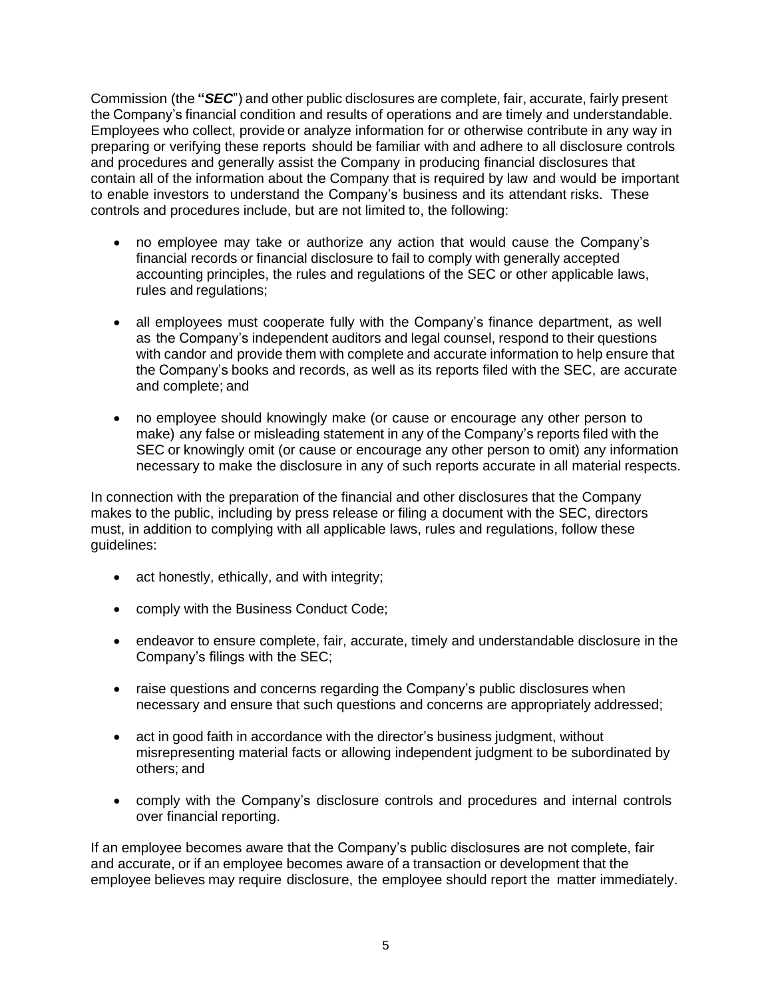Commission (the **"***SEC*") and other public disclosures are complete, fair, accurate, fairly present the Company's financial condition and results of operations and are timely and understandable. Employees who collect, provide or analyze information for or otherwise contribute in any way in preparing or verifying these reports should be familiar with and adhere to all disclosure controls and procedures and generally assist the Company in producing financial disclosures that contain all of the information about the Company that is required by law and would be important to enable investors to understand the Company's business and its attendant risks. These controls and procedures include, but are not limited to, the following:

- no employee may take or authorize any action that would cause the Company's financial records or financial disclosure to fail to comply with generally accepted accounting principles, the rules and regulations of the SEC or other applicable laws, rules and regulations;
- all employees must cooperate fully with the Company's finance department, as well as the Company's independent auditors and legal counsel, respond to their questions with candor and provide them with complete and accurate information to help ensure that the Company's books and records, as well as its reports filed with the SEC, are accurate and complete; and
- no employee should knowingly make (or cause or encourage any other person to make) any false or misleading statement in any of the Company's reports filed with the SEC or knowingly omit (or cause or encourage any other person to omit) any information necessary to make the disclosure in any of such reports accurate in all material respects.

In connection with the preparation of the financial and other disclosures that the Company makes to the public, including by press release or filing a document with the SEC, directors must, in addition to complying with all applicable laws, rules and regulations, follow these guidelines:

- act honestly, ethically, and with integrity;
- comply with the Business Conduct Code;
- endeavor to ensure complete, fair, accurate, timely and understandable disclosure in the Company's filings with the SEC;
- raise questions and concerns regarding the Company's public disclosures when necessary and ensure that such questions and concerns are appropriately addressed;
- act in good faith in accordance with the director's business judgment, without misrepresenting material facts or allowing independent judgment to be subordinated by others; and
- comply with the Company's disclosure controls and procedures and internal controls over financial reporting.

If an employee becomes aware that the Company's public disclosures are not complete, fair and accurate, or if an employee becomes aware of a transaction or development that the employee believes may require disclosure, the employee should report the matter immediately.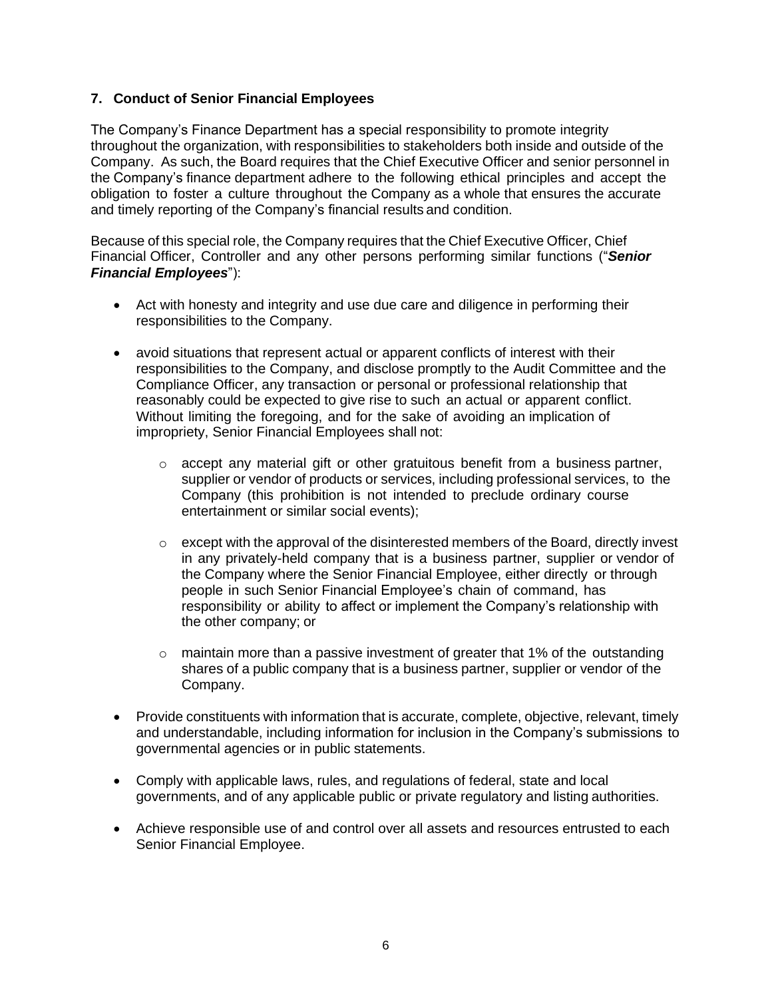### **7. Conduct of Senior Financial Employees**

The Company's Finance Department has a special responsibility to promote integrity throughout the organization, with responsibilities to stakeholders both inside and outside of the Company. As such, the Board requires that the Chief Executive Officer and senior personnel in the Company's finance department adhere to the following ethical principles and accept the obligation to foster a culture throughout the Company as a whole that ensures the accurate and timely reporting of the Company's financial results and condition.

Because of this special role, the Company requires that the Chief Executive Officer, Chief Financial Officer, Controller and any other persons performing similar functions ("*Senior Financial Employees*"):

- Act with honesty and integrity and use due care and diligence in performing their responsibilities to the Company.
- avoid situations that represent actual or apparent conflicts of interest with their responsibilities to the Company, and disclose promptly to the Audit Committee and the Compliance Officer, any transaction or personal or professional relationship that reasonably could be expected to give rise to such an actual or apparent conflict. Without limiting the foregoing, and for the sake of avoiding an implication of impropriety, Senior Financial Employees shall not:
	- $\circ$  accept any material gift or other gratuitous benefit from a business partner, supplier or vendor of products or services, including professional services, to the Company (this prohibition is not intended to preclude ordinary course entertainment or similar social events);
	- $\circ$  except with the approval of the disinterested members of the Board, directly invest in any privately-held company that is a business partner, supplier or vendor of the Company where the Senior Financial Employee, either directly or through people in such Senior Financial Employee's chain of command, has responsibility or ability to affect or implement the Company's relationship with the other company; or
	- $\circ$  maintain more than a passive investment of greater that 1% of the outstanding shares of a public company that is a business partner, supplier or vendor of the Company.
- Provide constituents with information that is accurate, complete, objective, relevant, timely and understandable, including information for inclusion in the Company's submissions to governmental agencies or in public statements.
- Comply with applicable laws, rules, and regulations of federal, state and local governments, and of any applicable public or private regulatory and listing authorities.
- Achieve responsible use of and control over all assets and resources entrusted to each Senior Financial Employee.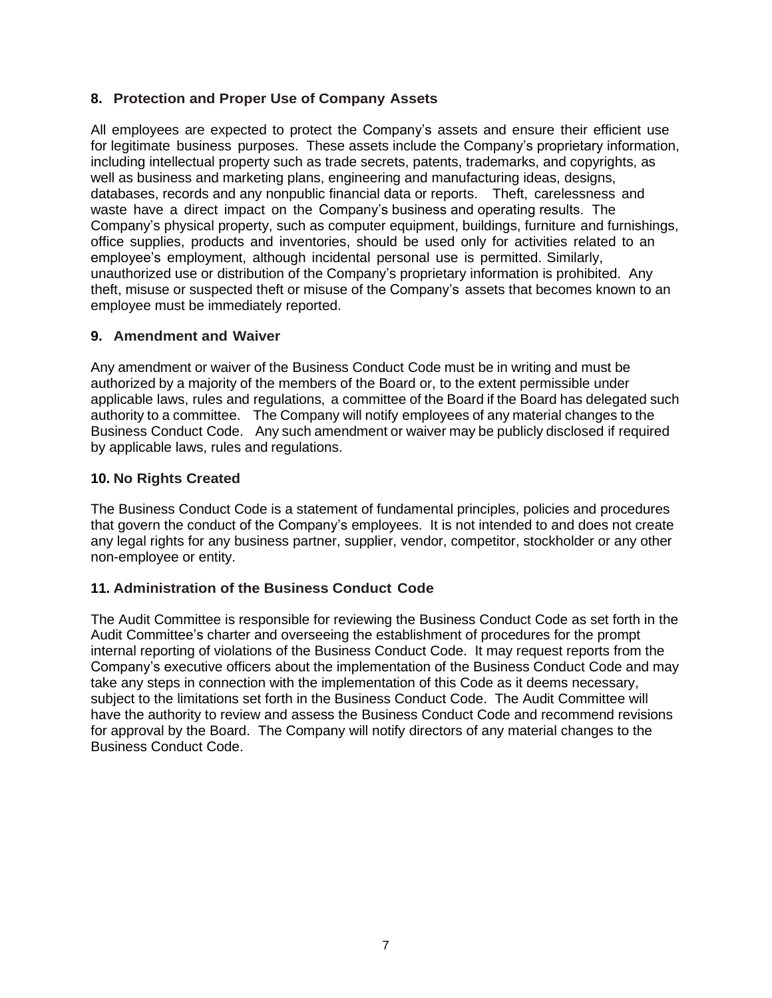# **8. Protection and Proper Use of Company Assets**

All employees are expected to protect the Company's assets and ensure their efficient use for legitimate business purposes. These assets include the Company's proprietary information, including intellectual property such as trade secrets, patents, trademarks, and copyrights, as well as business and marketing plans, engineering and manufacturing ideas, designs, databases, records and any nonpublic financial data or reports. Theft, carelessness and waste have a direct impact on the Company's business and operating results. The Company's physical property, such as computer equipment, buildings, furniture and furnishings, office supplies, products and inventories, should be used only for activities related to an employee's employment, although incidental personal use is permitted. Similarly, unauthorized use or distribution of the Company's proprietary information is prohibited. Any theft, misuse or suspected theft or misuse of the Company's assets that becomes known to an employee must be immediately reported.

### **9. Amendment and Waiver**

Any amendment or waiver of the Business Conduct Code must be in writing and must be authorized by a majority of the members of the Board or, to the extent permissible under applicable laws, rules and regulations, a committee of the Board if the Board has delegated such authority to a committee. The Company will notify employees of any material changes to the Business Conduct Code. Any such amendment or waiver may be publicly disclosed if required by applicable laws, rules and regulations.

### **10. No Rights Created**

The Business Conduct Code is a statement of fundamental principles, policies and procedures that govern the conduct of the Company's employees. It is not intended to and does not create any legal rights for any business partner, supplier, vendor, competitor, stockholder or any other non-employee or entity.

### **11. Administration of the Business Conduct Code**

The Audit Committee is responsible for reviewing the Business Conduct Code as set forth in the Audit Committee's charter and overseeing the establishment of procedures for the prompt internal reporting of violations of the Business Conduct Code. It may request reports from the Company's executive officers about the implementation of the Business Conduct Code and may take any steps in connection with the implementation of this Code as it deems necessary, subject to the limitations set forth in the Business Conduct Code. The Audit Committee will have the authority to review and assess the Business Conduct Code and recommend revisions for approval by the Board. The Company will notify directors of any material changes to the Business Conduct Code.